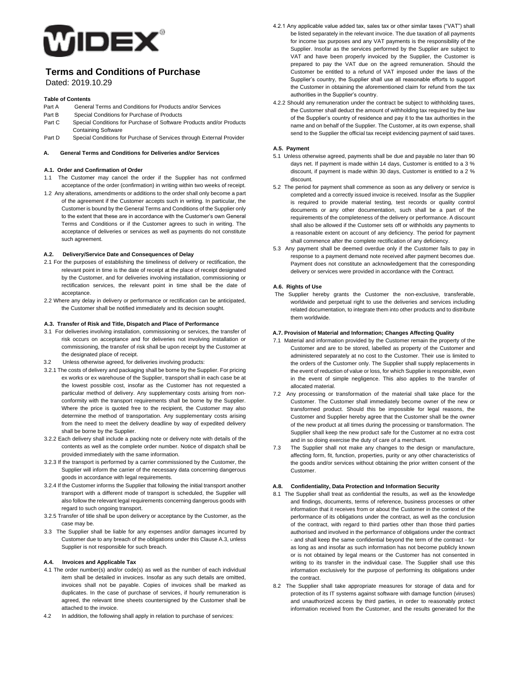

# **Terms and Conditions of Purchase**

Dated: 2019.10.29

# **Table of Contents**

- Part A General Terms and Conditions for Products and/or Services
- Part B Special Conditions for Purchase of Products
- Part C Special Conditions for Purchase of Software Products and/or Products Containing Software
- Part D Special Conditions for Purchase of Services through External Provider

## **A. General Terms and Conditions for Deliveries and/or Services**

# **A.1. Order and Confirmation of Order**

- 1.1 The Customer may cancel the order if the Supplier has not confirmed acceptance of the order (confirmation) in writing within two weeks of receipt.
- 1.2 Any alterations, amendments or additions to the order shall only become a part of the agreement if the Customer accepts such in writing. In particular, the Customer is bound by the General Terms and Conditions of the Supplier only to the extent that these are in accordance with the Customer's own General Terms and Conditions or if the Customer agrees to such in writing. The acceptance of deliveries or services as well as payments do not constitute such agreement.

# **A.2. Delivery/Service Date and Consequences of Delay**

- 2.1 For the purposes of establishing the timeliness of delivery or rectification, the relevant point in time is the date of receipt at the place of receipt designated by the Customer, and for deliveries involving installation, commissioning or rectification services, the relevant point in time shall be the date of acceptance.
- 2.2 Where any delay in delivery or performance or rectification can be anticipated, the Customer shall be notified immediately and its decision sought.

## **A.3. Transfer of Risk and Title, Dispatch and Place of Performance**

- 3.1 For deliveries involving installation, commissioning or services, the transfer of risk occurs on acceptance and for deliveries not involving installation or commissioning, the transfer of risk shall be upon receipt by the Customer at the designated place of receipt.
- 3.2 Unless otherwise agreed, for deliveries involving products:
- 3.2.1 The costs of delivery and packaging shall be borne by the Supplier. For pricing ex works or ex warehouse of the Supplier, transport shall in each case be at the lowest possible cost, insofar as the Customer has not requested a particular method of delivery. Any supplementary costs arising from nonconformity with the transport requirements shall be borne by the Supplier. Where the price is quoted free to the recipient, the Customer may also determine the method of transportation. Any supplementary costs arising from the need to meet the delivery deadline by way of expedited delivery shall be borne by the Supplier.
- 3.2.2 Each delivery shall include a packing note or delivery note with details of the contents as well as the complete order number. Notice of dispatch shall be provided immediately with the same information.
- 3.2.3 If the transport is performed by a carrier commissioned by the Customer, the Supplier will inform the carrier of the necessary data concerning dangerous goods in accordance with legal requirements.
- 3.2.4 If the Customer informs the Supplier that following the initial transport another transport with a different mode of transport is scheduled, the Supplier will also follow the relevant legal requirements concerning dangerous goods with regard to such ongoing transport.
- 3.2.5 Transfer of title shall be upon delivery or acceptance by the Customer, as the case may be.
- 3.3 The Supplier shall be liable for any expenses and/or damages incurred by Customer due to any breach of the obligations under this Clause A.3, unless Supplier is not responsible for such breach.

## **A.4. Invoices and Applicable Tax**

- 4.1 The order number(s) and/or code(s) as well as the number of each individual item shall be detailed in invoices. Insofar as any such details are omitted, invoices shall not be payable. Copies of invoices shall be marked as duplicates. In the case of purchase of services, if hourly remuneration is agreed, the relevant time sheets countersigned by the Customer shall be attached to the invoice.
- 4.2 In addition, the following shall apply in relation to purchase of services:
- 4.2.1 Any applicable value added tax, sales tax or other similar taxes ("VAT") shall be listed separately in the relevant invoice. The due taxation of all payments for income tax purposes and any VAT payments is the responsibility of the Supplier. Insofar as the services performed by the Supplier are subject to VAT and have been properly invoiced by the Supplier, the Customer is prepared to pay the VAT due on the agreed remuneration. Should the Customer be entitled to a refund of VAT imposed under the laws of the Supplier's country, the Supplier shall use all reasonable efforts to support the Customer in obtaining the aforementioned claim for refund from the tax authorities in the Supplier's country.
- 4.2.2 Should any remuneration under the contract be subject to withholding taxes, the Customer shall deduct the amount of withholding tax required by the law of the Supplier's country of residence and pay it to the tax authorities in the name and on behalf of the Supplier. The Customer, at its own expense, shall send to the Supplier the official tax receipt evidencing payment of said taxes.

# **A.5. Payment**

- 5.1 Unless otherwise agreed, payments shall be due and payable no later than 90 days net. If payment is made within 14 days, Customer is entitled to a 3 % discount, if payment is made within 30 days, Customer is entitled to a 2 % discount
- 5.2 The period for payment shall commence as soon as any delivery or service is completed and a correctly issued invoice is received. Insofar as the Supplier is required to provide material testing, test records or quality control documents or any other documentation, such shall be a part of the requirements of the completeness of the delivery or performance. A discount shall also be allowed if the Customer sets off or withholds any payments to a reasonable extent on account of any deficiency. The period for payment shall commence after the complete rectification of any deficiency.
- 5.3 Any payment shall be deemed overdue only if the Customer fails to pay in response to a payment demand note received after payment becomes due. Payment does not constitute an acknowledgement that the corresponding delivery or services were provided in accordance with the Contract.

# **A.6. Rights of Use**

The Supplier hereby grants the Customer the non-exclusive, transferable, worldwide and perpetual right to use the deliveries and services including related documentation, to integrate them into other products and to distribute them worldwide.

# **A.7. Provision of Material and Information; Changes Affecting Quality**

- 7.1 Material and information provided by the Customer remain the property of the Customer and are to be stored, labelled as property of the Customer and administered separately at no cost to the Customer. Their use is limited to the orders of the Customer only. The Supplier shall supply replacements in the event of reduction of value or loss, for which Supplier is responsible, even in the event of simple negligence. This also applies to the transfer of allocated material.
- 7.2 Any processing or transformation of the material shall take place for the Customer. The Customer shall immediately become owner of the new or transformed product. Should this be impossible for legal reasons, the Customer and Supplier hereby agree that the Customer shall be the owner of the new product at all times during the processing or transformation. The Supplier shall keep the new product safe for the Customer at no extra cost and in so doing exercise the duty of care of a merchant.
- 7.3 The Supplier shall not make any changes to the design or manufacture, affecting form, fit, function, properties, purity or any other characteristics of the goods and/or services without obtaining the prior written consent of the Customer.

# **A.8. Confidentiality, Data Protection and Information Security**

- 8.1 The Supplier shall treat as confidential the results, as well as the knowledge and findings, documents, terms of reference, business processes or other information that it receives from or about the Customer in the context of the performance of its obligations under the contract, as well as the conclusion of the contract, with regard to third parties other than those third parties authorised and involved in the performance of obligations under the contract - and shall keep the same confidential beyond the term of the contract - for as long as and insofar as such information has not become publicly known or is not obtained by legal means or the Customer has not consented in writing to its transfer in the individual case. The Supplier shall use this information exclusively for the purpose of performing its obligations under the contract.
- 8.2 The Supplier shall take appropriate measures for storage of data and for protection of its IT systems against software with damage function (viruses) and unauthorized access by third parties, in order to reasonably protect information received from the Customer, and the results generated for the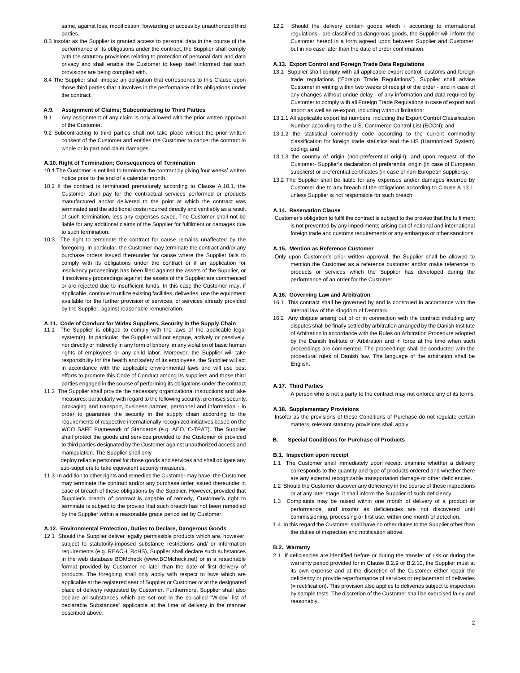same, against loss, modification, forwarding or access by unauthorized third parties.

- 8.3 Insofar as the Supplier is granted access to personal data in the course of the performance of its obligations under the contract, the Supplier shall comply with the statutory provisions relating to protection of personal data and data privacy and shall enable the Customer to keep itself informed that such provisions are being complied with.
- 8.4 The Supplier shall impose an obligation that corresponds to this Clause upon those third parties that it involves in the performance of its obligations under the contract.

#### **A.9. Assignment of Claims; Subcontracting to Third Parties**

- 9.1 Any assignment of any claim is only allowed with the prior written approval of the Customer.
- 9.2 Subcontracting to third parties shall not take place without the prior written consent of the Customer and entitles the Customer to cancel the contract in whole or in part and claim damages.

# **A.10. Right of Termination; Consequences of Termination**

- 10.1 The Customer is entitled to terminate the contract by giving four weeks' written notice prior to the end of a calendar month.
- 10.2 If the contract is terminated prematurely according to Clause A.10.1, the Customer shall pay for the contractual services performed or products manufactured and/or delivered to the point at which the contract was terminated and the additional costs incurred directly and verifiably as a result of such termination, less any expenses saved. The Customer shall not be liable for any additional claims of the Supplier for fulfilment or damages due to such termination.
- 10.3 The right to terminate the contract for cause remains unaffected by the foregoing. In particular, the Customer may terminate the contract and/or any purchase orders issued thereunder for cause where the Supplier fails to comply with its obligations under the contract or if an application for insolvency proceedings has been filed against the assets of the Supplier, or if insolvency proceedings against the assets of the Supplier are commenced or are rejected due to insufficient funds. In this case the Customer may, if applicable, continue to utilize existing facilities, deliveries, use the equipment available for the further provision of services, or services already provided by the Supplier, against reasonable remuneration.

## **A.11. Code of Conduct for Widex Suppliers, Security in the Supply Chain**

- 11.1 The Supplier is obliged to comply with the laws of the applicable legal system(s). In particular, the Supplier will not engage, actively or passively, nor directly or indirectly in any form of bribery, in any violation of basic human rights of employees or any child labor. Moreover, the Supplier will take responsibility for the health and safety of its employees, the Supplier will act in accordance with the applicable environmental laws and will use best efforts to promote this Code of Conduct among its suppliers and those third parties engaged in the course of performing its obligations under the contract.
- 11.2 The Supplier shall provide the necessary organizational instructions and take measures, particularly with regard to the following security: premises security, packaging and transport, business partner, personnel and information - in order to guarantee the security in the supply chain according to the requirements of respective internationally recognized initiatives based on the WCO SAFE Framework of Standards (e.g. AEO, C-TPAT). The Supplier shall protect the goods and services provided to the Customer or provided to third parties designated by the Customer against unauthorized access and manipulation. The Supplier shall only

deploy reliable personnel for those goods and services and shall obligate any sub-suppliers to take equivalent security measures.

11.3 In addition to other rights and remedies the Customer may have, the Customer may terminate the contract and/or any purchase order issued thereunder in case of breach of these obligations by the Supplier. However, provided that Supplier's breach of contract is capable of remedy, Customer's right to terminate is subject to the proviso that such breach has not been remedied by the Supplier within a reasonable grace period set by Customer.

# **A.12. Environmental Protection, Duties to Declare, Dangerous Goods**

12.1 Should the Supplier deliver legally permissible products which are, however, subject to statutorily-imposed substance restrictions and/ or information requirements (e.g. REACH, RoHS), Supplier shall declare such substances in the web database BOMcheck (www.BOMcheck.net) or in a reasonable format provided by Customer no later than the date of first delivery of products. The foregoing shall only apply with respect to laws which are applicable at the registered seat of Supplier or Customer or at the designated place of delivery requested by Customer. Furthermore, Supplier shall also declare all substances which are set out in the so-called "Widex" list of declarable Substances" applicable at the time of delivery in the manner described above.

12.2 Should the delivery contain goods which - according to international regulations - are classified as dangerous goods, the Supplier will inform the Customer hereof in a form agreed upon between Supplier and Customer, but in no case later than the date of order confirmation.

## **A.13. Export Control and Foreign Trade Data Regulations**

- 13.1 Supplier shall comply with all applicable export control, customs and foreign trade regulations ("Foreign Trade Regulations"). Supplier shall advise Customer in writing within two weeks of receipt of the order - and in case of any changes without undue delay - of any information and data required by Customer to comply with all Foreign Trade Regulations in case of export and import as well as re-export, including without limitation:
- 13.1.1 All applicable export list numbers, including the Export Control Classification Number according to the U.S. Commerce Control List (ECCN); and
- 13.1.2 the statistical commodity code according to the current commodity classification for foreign trade statistics and the HS (Harmonized System) coding; and
- 13.1.3 the country of origin (non-preferential origin); and upon request of the Customer- Supplier's declaration of preferential origin (in case of European suppliers) or preferential certificates (in case of non-European suppliers).
- 13.2 The Supplier shall be liable for any expenses and/or damages incurred by Customer due to any breach of the obligations according to Clause A.13.1, unless Supplier is not responsible for such breach.

#### **A.14. Reservation Clause**

Customer's obligation to fulfil the contract is subject to the proviso that the fulfilment is not prevented by any impediments arising out of national and international foreign trade and customs requirements or any embargos or other sanctions.

#### **A.15. Mention as Reference Customer**

Only upon Customer's prior written approval, the Supplier shall be allowed to mention the Customer as a reference customer and/or make reference to products or services which the Supplier has developed during the performance of an order for the Customer.

# **A.16. Governing Law and Arbitration**

- 16.1 This contract shall be governed by and is construed in accordance with the internal law of the Kingdom of Denmark.
- 16.2 Any dispute arising out of or in connection with the contract including any disputes shall be finally settled by arbitration arranged by the Danish Institute of Arbitration in accordance with the Rules on Arbitration Procedure adopted by the Danish Institute of Arbitration and in force at the time when such proceedings are commented. The proceedings shall be conducted with the procedural rules of Danish law. The language of the arbitration shall be English.

## **A.17. Third Parties**

A person who is not a party to the contract may not enforce any of its terms.

#### **A.18. Supplementary Provisions**

Insofar as the provisions of these Conditions of Purchase do not regulate certain matters, relevant statutory provisions shall apply.

#### **B. Special Conditions for Purchase of Products**

#### **B.1. Inspection upon receipt**

- 1.1 The Customer shall immediately upon receipt examine whether a delivery corresponds to the quantity and type of products ordered and whether there are any external recognizable transportation damage or other deficiencies.
- 1.2 Should the Customer discover any deficiency in the course of these inspections or at any later stage, it shall inform the Supplier of such deficiency.
- 1.3 Complaints may be raised within one month of delivery of a product or performance, and insofar as deficiencies are not discovered until commissioning, processing or first use, within one month of detection.
- 1.4 In this regard the Customer shall have no other duties to the Supplier other than the duties of inspection and notification above.

## **B.2. Warranty**

2.1 If deficiencies are identified before or during the transfer of risk or during the warranty period provided for in Clause B.2.9 or B.2.10, the Supplier must at its own expense and at the discretion of the Customer either repair the deficiency or provide reperformance of services or replacement of deliveries (= rectification). This provision also applies to deliveries subject to inspection by sample tests. The discretion of the Customer shall be exercised fairly and reasonably.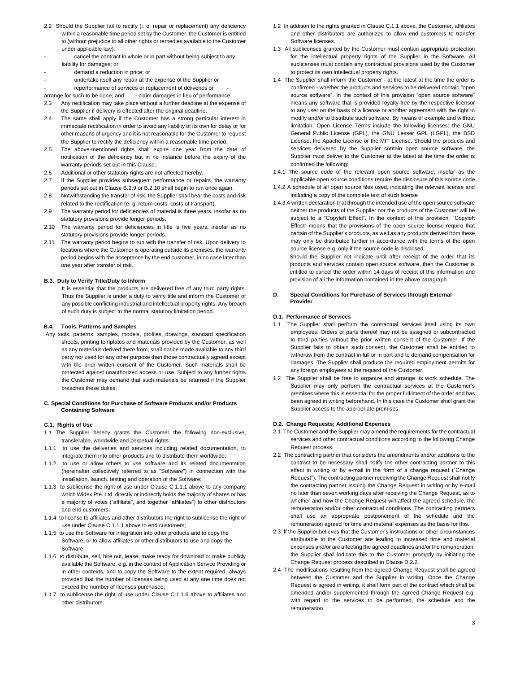- 2.2 Should the Supplier fail to rectify (i. e. repair or replacement) any deficiency within a reasonable time period set by the Customer, the Customer is entitled to (without prejudice to all other rights or remedies available to the Customer under applicable law):
- cancel the contract in whole or in part without being subject to any liability for damages; or
- demand a reduction in price; or
	- undertake itself any repair at the expense of the Supplier or
	- reperformance of services or replacement of deliveries or
- arrange for such to be done; and claim damages in lieu of performance.
- 2.3 Any rectification may take place without a further deadline at the expense of the Supplier if delivery is effected after the original deadline.
- 2.4 The same shall apply if the Customer has a strong particular interest in immediate rectification in order to avoid any liability of its own for delay or for other reasons of urgency and it is not reasonable for the Customer to request the Supplier to rectify the deficiency within a reasonable time period.
- 2.5 The above-mentioned rights shall expire one year from the date of notification of the deficiency but in no instance before the expiry of the warranty periods set out in this Clause.
- 2.6 Additional or other statutory rights are not affected hereby.
- 2.7 If the Supplier provides subsequent performance or repairs, the warranty periods set out in Clause B.2.9 or B.2.10 shall begin to run once again.
- 2.8 Notwithstanding the transfer of risk, the Supplier shall bear the costs and risk related to the rectification (e. g. return costs, costs of transport).
- 2.9 The warranty period for deficiencies of material is three years, insofar as no statutory provisions provide longer periods.
- 2.10 The warranty period for deficiencies in title is five years, insofar as no statutory provisions provide longer periods.
- 2.11 The warranty period begins to run with the transfer of risk. Upon delivery to locations where the Customer is operating outside its premises, the warranty period begins with the acceptance by the end customer, in no case later than one year after transfer of risk.

# **B.3. Duty to Verify Title/Duty to Inform**

It is essential that the products are delivered free of any third party rights. Thus the Supplier is under a duty to verify title and inform the Customer of any possible conflicting industrial and intellectual property rights. Any breach of such duty is subject to the normal statutory limitation period.

# **B.4. Tools, Patterns and Samples**

Any tools, patterns, samples, models, profiles, drawings, standard specification sheets, printing templates and materials provided by the Customer, as well as any materials derived there from, shall not be made available to any third party nor used for any other purpose than those contractually agreed except with the prior written consent of the Customer. Such materials shall be protected against unauthorized access or use. Subject to any further rights the Customer may demand that such materials be returned if the Supplier breaches these duties.

#### **C. Special Conditions for Purchase of Software Products and/or Products Containing Software**

## **C.1. Rights of Use**

- 1.1 The Supplier hereby grants the Customer the following non-exclusive, transferable, worldwide and perpetual rights:
- 1.1.1 to use the deliveries and services including related documentation, to integrate them into other products and to distribute them worldwide;
- 1.1.2 to use or allow others to use software and its related documentation (hereinafter collectively referred to as "Software") in connection with the installation, launch, testing and operation of the Software;
- 1.1.3 to sublicense the right of use under Clause C.1.1.1 above to any company which Widex Pte. Ltd. directly or indirectly holds the majority of shares or has a majority of votes ("affiliate", and together "affiliates") to other distributors and end customers;
- 1.1.4 to license to affiliates and other distributors the right to sublicense the right of use under Clause C.1.1.1 above to end customers;
- 1.1.5 to use the Software for integration into other products and to copy the Software, or to allow affiliates or other distributors to use and copy the Software;
- 1.1.6 to distribute, sell, hire out, lease, make ready for download or make publicly available the Software, e.g. in the context of Application Service Providing or in other contexts, and to copy the Software to the extent required, always provided that the number of licenses being used at any one time does not exceed the number of licenses purchased;
- 1.1.7 to sublicense the right of use under Clause C.1.1.6 above to affiliates and other distributors.
- 1.2 In addition to the rights granted in Clause C.1.1 above, the Customer, affiliates and other distributors are authorized to allow end customers to transfer Software licenses.
- 1.3 All sublicenses granted by the Customer must contain appropriate protection for the intellectual property rights of the Supplier in the Software. All sublicenses must contain any contractual provisions used by the Customer to protect its own intellectual property rights.
- 1.4 The Supplier shall inform the Customer at the latest at the time the order is confirmed - whether the products and services to be delivered contain "open source software". In the context of this provision "open source software" means any software that is provided royalty-free by the respective licensor to any user on the basis of a license or another agreement with the right to modify and/or to distribute such software. By means of example and without limitation, Open License Terms include the following licenses: the GNU General Public License (GPL), the GNU Lesser GPL (LGPL), the BSD License, the Apache License or the MIT License. Should the products and services delivered by the Supplier contain open source software, the Supplier must deliver to the Customer at the latest at the time the order is confirmed the following:
- 1.4.1 The source code of the relevant open source software, insofar as the applicable open source conditions require the disclosure of this source code
- 1.4.2 A schedule of all open source files used, indicating the relevant license and including a copy of the complete text of such license
- 1.4.3 A written declaration that through the intended use of the open source software neither the products of the Supplier nor the products of the Customer will be subject to a "Copyleft Effect". In the context of this provision, "Copyleft Effect" means that the provisions of the open source license require that certain of the Supplier's products, as well as any products derived from these, may only be distributed further in accordance with the terms of the open source license e.g. only if the source code is disclosed. Should the Supplier not indicate until after receipt of the order that its

products and services contain open source software, then the Customer is entitled to cancel the order within 14 days of receipt of this information and provision of all the information contained in the above paragraph.

## **D. Special Conditions for Purchase of Services through External Provider**

# **D.1. Performance of Services**

- 1.1 The Supplier shall perform the contractual services itself using its own employees. Orders or parts thereof may not be assigned or subcontracted to third parties without the prior written consent of the Customer. If the Supplier fails to obtain such consent, the Customer shall be entitled to withdraw from the contract in full or in part and to demand compensation for damages. The Supplier shall produce the required employment permits for any foreign employees at the request of the Customer.
- 1.2 The Supplier shall be free to organize and arrange its work schedule. The Supplier may only perform the contractual services at the Customer's premises where this is essential for the proper fulfilment of the order and has been agreed in writing beforehand. In this case the Customer shall grant the Supplier access to the appropriate premises.

# **D.2. Change Requests; Additional Expenses**

- 2.1 The Customer and the Supplier may amend the requirements for the contractual services and other contractual conditions according to the following Change Request process.
- 2.2 The contracting partner that considers the amendments and/or additions to the contract to be necessary shall notify the other contracting partner to this effect in writing or by e-mail in the form of a change request ("Change Request"). The contracting partner receiving the Change Request shall notify the contracting partner issuing the Change Request in writing or by e-mail no later than seven working days after receiving the Change Request, as to whether and how the Change Request will affect the agreed schedule, the remuneration and/or other contractual conditions. The contracting partners shall use an appropriate postponement of the schedule and the remuneration agreed for time and material expenses as the basis for this.
- 2.3 If the Supplier believes that the Customer's instructions or other circumstances attributable to the Customer are leading to increased time and material expenses and/or are affecting the agreed deadlines and/or the remuneration, the Supplier shall indicate this to the Customer promptly by initiating the Change Request process described in Clause D.2.2.
- 2.4 The modifications resulting from the agreed Change Request shall be agreed between the Customer and the Supplier in writing. Once the Change Request is agreed in writing, it shall form part of the contract which shall be amended and/or supplemented through the agreed Change Request e.g. with regard to the services to be performed, the schedule and the remuneration.